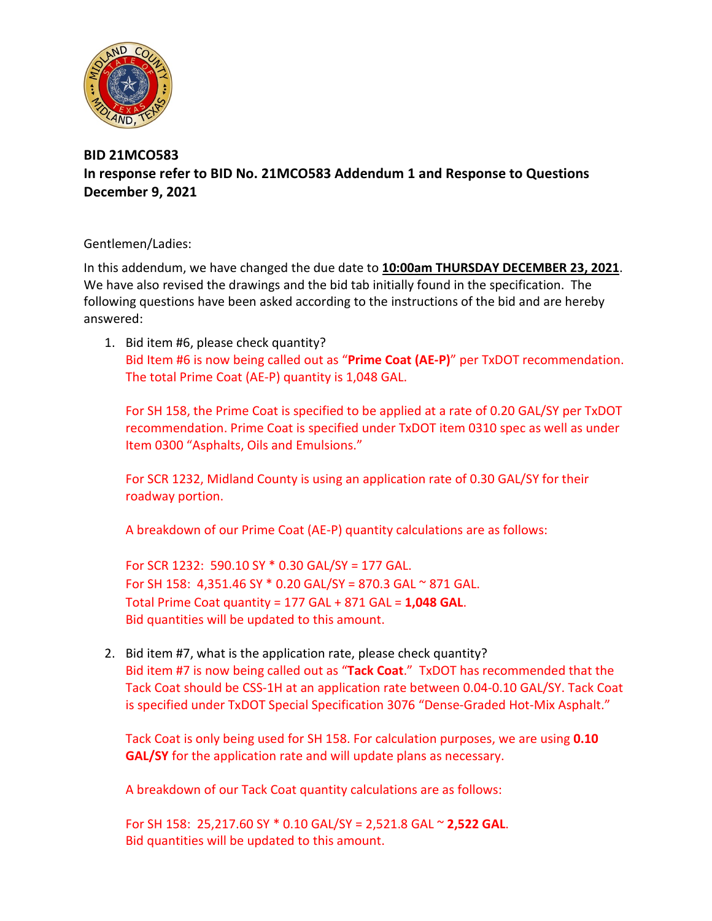

## **BID 21MCO583 In response refer to BID No. 21MCO583 Addendum 1 and Response to Questions December 9, 2021**

Gentlemen/Ladies:

In this addendum, we have changed the due date to **10:00am THURSDAY DECEMBER 23, 2021**. We have also revised the drawings and the bid tab initially found in the specification. The following questions have been asked according to the instructions of the bid and are hereby answered:

1. Bid item #6, please check quantity? Bid Item #6 is now being called out as "**Prime Coat (AE-P)**" per TxDOT recommendation. The total Prime Coat (AE-P) quantity is 1,048 GAL.

For SH 158, the Prime Coat is specified to be applied at a rate of 0.20 GAL/SY per TxDOT recommendation. Prime Coat is specified under TxDOT item 0310 spec as well as under Item 0300 "Asphalts, Oils and Emulsions."

For SCR 1232, Midland County is using an application rate of 0.30 GAL/SY for their roadway portion.

A breakdown of our Prime Coat (AE-P) quantity calculations are as follows:

For SCR 1232: 590.10 SY \* 0.30 GAL/SY = 177 GAL. For SH 158: 4,351.46 SY  $*$  0.20 GAL/SY = 870.3 GAL  $\sim$  871 GAL. Total Prime Coat quantity = 177 GAL + 871 GAL = **1,048 GAL**. Bid quantities will be updated to this amount.

2. Bid item #7, what is the application rate, please check quantity? Bid item #7 is now being called out as "**Tack Coat**." TxDOT has recommended that the Tack Coat should be CSS-1H at an application rate between 0.04-0.10 GAL/SY. Tack Coat is specified under TxDOT Special Specification 3076 "Dense-Graded Hot-Mix Asphalt."

Tack Coat is only being used for SH 158. For calculation purposes, we are using **0.10 GAL/SY** for the application rate and will update plans as necessary.

A breakdown of our Tack Coat quantity calculations are as follows:

For SH 158: 25,217.60 SY \* 0.10 GAL/SY = 2,521.8 GAL ~ **2,522 GAL**. Bid quantities will be updated to this amount.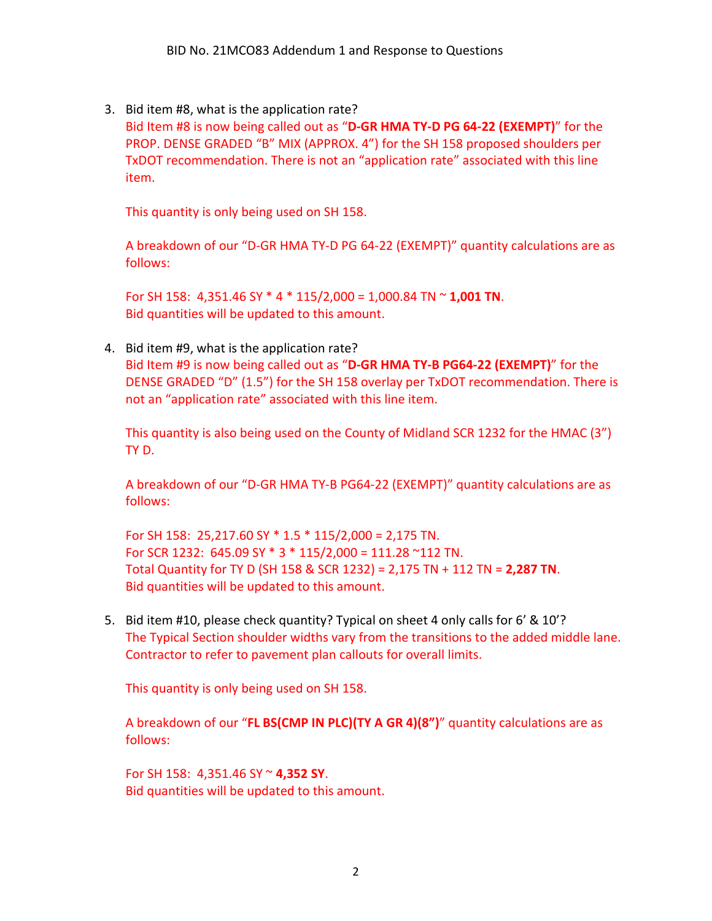3. Bid item #8, what is the application rate?

Bid Item #8 is now being called out as "**D-GR HMA TY-D PG 64-22 (EXEMPT)**" for the PROP. DENSE GRADED "B" MIX (APPROX. 4") for the SH 158 proposed shoulders per TxDOT recommendation. There is not an "application rate" associated with this line item.

This quantity is only being used on SH 158.

A breakdown of our "D-GR HMA TY-D PG 64-22 (EXEMPT)" quantity calculations are as follows:

For SH 158: 4,351.46 SY \* 4 \* 115/2,000 = 1,000.84 TN ~ **1,001 TN**. Bid quantities will be updated to this amount.

4. Bid item #9, what is the application rate?

Bid Item #9 is now being called out as "**D-GR HMA TY-B PG64-22 (EXEMPT)**" for the DENSE GRADED "D" (1.5") for the SH 158 overlay per TxDOT recommendation. There is not an "application rate" associated with this line item.

This quantity is also being used on the County of Midland SCR 1232 for the HMAC (3") TY D.

A breakdown of our "D-GR HMA TY-B PG64-22 (EXEMPT)" quantity calculations are as follows:

For SH 158: 25,217.60 SY \* 1.5 \* 115/2,000 = 2,175 TN. For SCR 1232: 645.09 SY \* 3 \* 115/2,000 = 111.28 ~112 TN. Total Quantity for TY D (SH 158 & SCR 1232) = 2,175 TN + 112 TN = **2,287 TN**. Bid quantities will be updated to this amount.

5. Bid item #10, please check quantity? Typical on sheet 4 only calls for 6' & 10'? The Typical Section shoulder widths vary from the transitions to the added middle lane. Contractor to refer to pavement plan callouts for overall limits.

This quantity is only being used on SH 158.

A breakdown of our "**FL BS(CMP IN PLC)(TY A GR 4)(8")**" quantity calculations are as follows:

For SH 158: 4,351.46 SY ~ **4,352 SY**. Bid quantities will be updated to this amount.